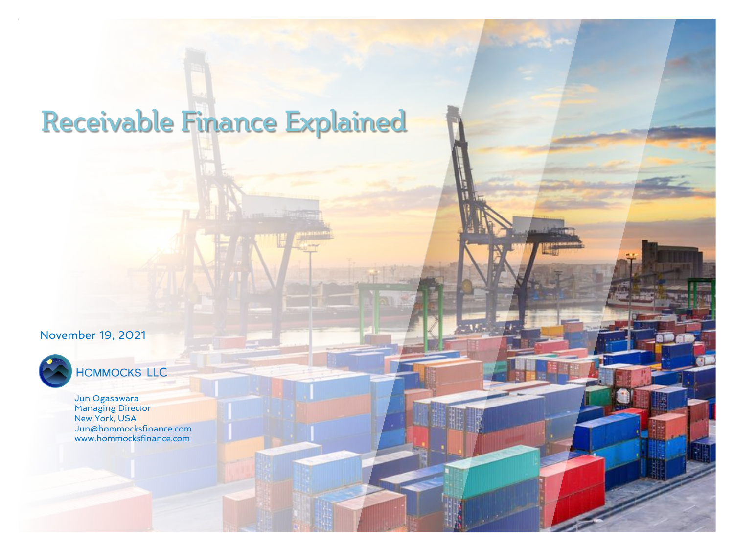### Receivable Finance Explained

#### November 19, 2021



### HOMMOCKS LLC

Jun Ogasawara Managing Director New York, USA Jun@hommocksfinance.com www.hommocksfinance.com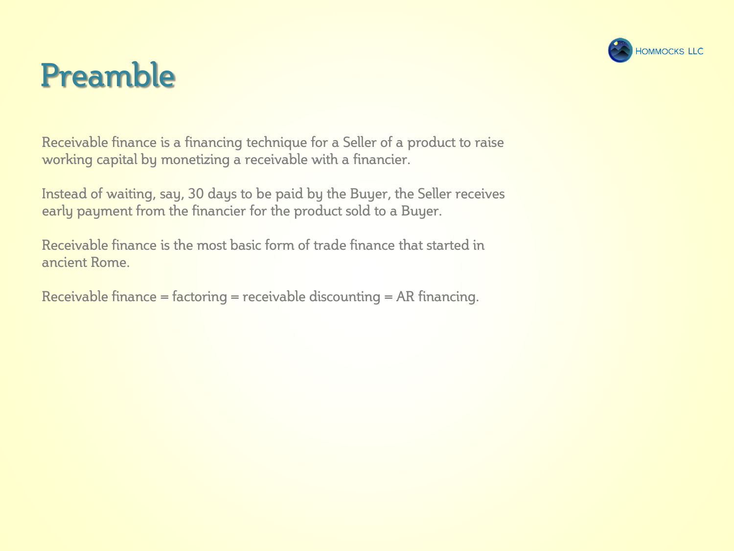

## Preamble

Receivable finance is a financing technique for a Seller of a product to raise working capital by monetizing a receivable with a financier.

Instead of waiting, say, 30 days to be paid by the Buyer, the Seller receives early payment from the financier for the product sold to a Buyer.

Receivable finance is the most basic form of trade finance that started in ancient Rome.

Receivable finance = factoring = receivable discounting = AR financing.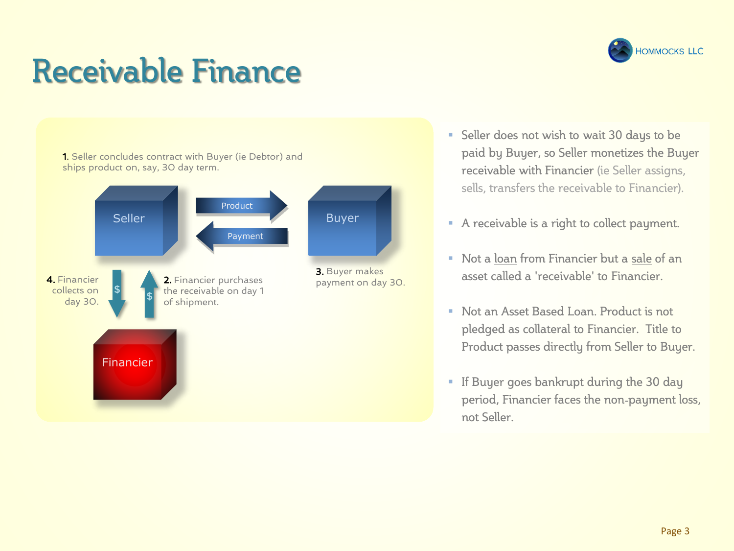# Receivable Finance



- **Example 30 Seller does not wish to wait 30 days to be** paid by Buyer, so Seller monetizes the Buyer receivable with Financier (ie Seller assigns, sells, transfers the receivable to Financier).
- A receivable is a right to collect payment.
- Not a loan from Financier but a sale of an asset called a 'receivable' to Financier.
- Not an Asset Based Loan. Product is not pledged as collateral to Financier. Title to Product passes directly from Seller to Buyer.
- **EXE** If Buyer goes bankrupt during the 30 day period, Financier faces the non-payment loss, not Seller.

**HOMMOCKS LLC**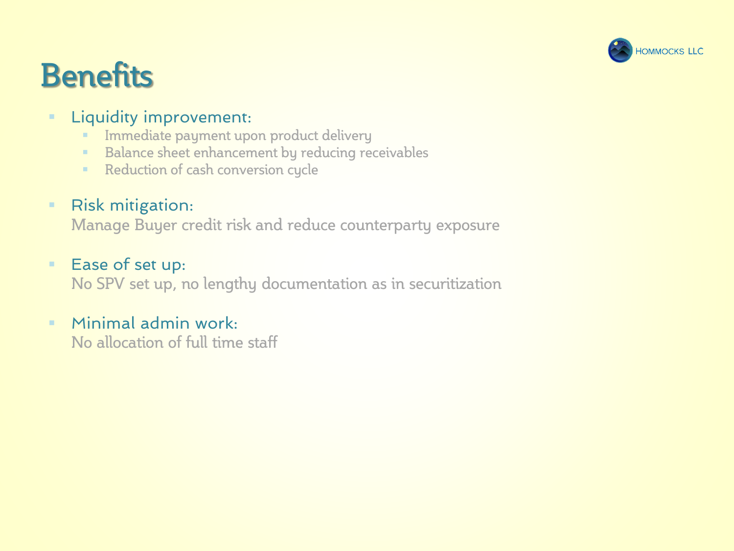

## **Benefits**

#### **EXEQUARY Liquidity improvement:**

- **· Immediate payment upon product delivery**
- Balance sheet enhancement by reducing receivables
- Reduction of cash conversion cycle

### ■ Risk mitigation:

Manage Buyer credit risk and reduce counterparty exposure

#### ■ Ease of set up:

No SPV set up, no lengthy documentation as in securitization

#### $\blacksquare$  Minimal admin work:

No allocation of full time staff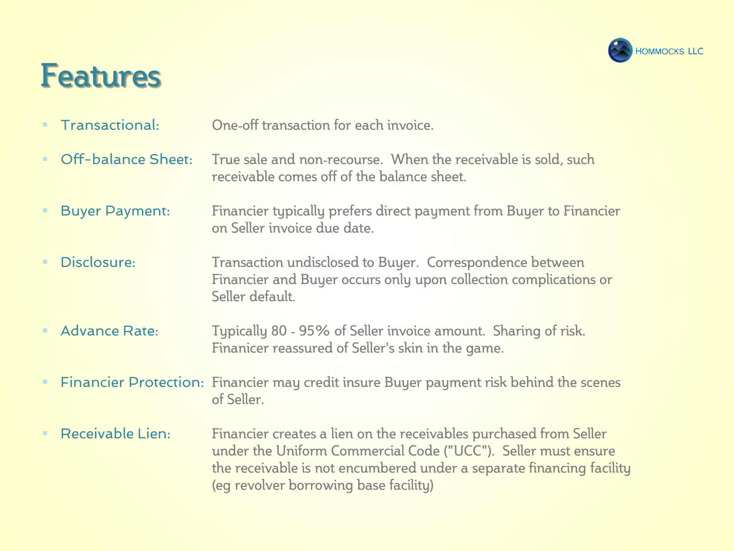

### Features

- **Transactional:** One-off transaction for each invoice
- **Off-balance Sheet:** True sale and non-recourse. When the receivable is sold, such receivable comes off of the balance sheet.
- **EXICT:** Financier typically prefers direct payment from Buyer to Financier on Seller invoice due date.
- **EXP** Disclosure: Transaction undisclosed to Buyer. Correspondence between Financier and Buyer occurs only upon collection complications or Seller default.
- **EXEDEE Advance Rate:** Typically 80 95% of Seller invoice amount. Sharing of risk. Finanicer reassured of Seller's skin in the game.
- **EXTERN FINANCIER FINANCIES IN A THE INCORRY FINANCIES** FINANCIES FINANCIES FINANCIES **FINANCIES** of Seller.
- **EXECE** Receivable Lien: Financier creates a lien on the receivables purchased from Seller under the Uniform Commercial Code ("UCC"). Seller must ensure the receivable is not encumbered under a separate financing facility (eg revolver borrowing base facility)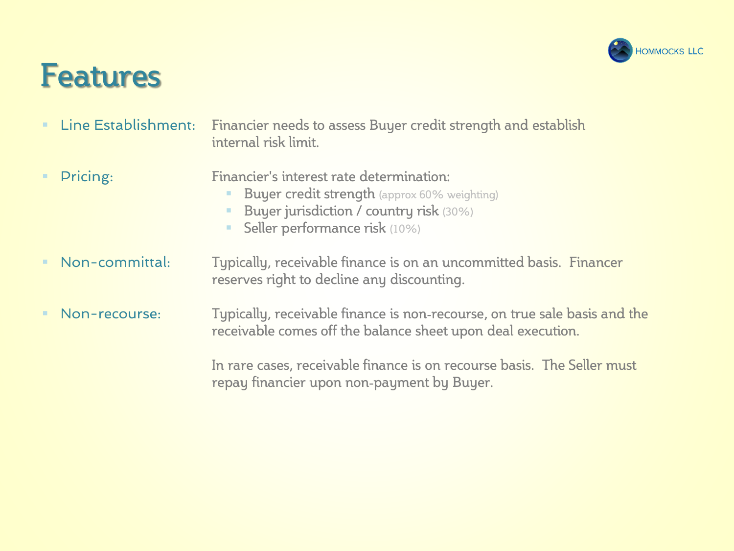

### Features

- **EXTERN ESTABLER ISLESS IS 2018 THE ESTABLISH EXTERNAL ESTABLE ISL** Line Establish internal risk limit.
- **•** Pricing: Financier's interest rate determination:
	- **Buyer credit strength** (approx 60% weighting)
	- Buyer jurisdiction / country risk (30%)
	- **E** Seller performance risk (10%)
- **E** Non-committal: Typically, receivable finance is on an uncommitted basis. Financer reserves right to decline any discounting.
- **E** Non-recourse: Typically, receivable finance is non-recourse, on true sale basis and the receivable comes off the balance sheet upon deal execution.

In rare cases, receivable finance is on recourse basis. The Seller must repay financier upon non-payment by Buyer.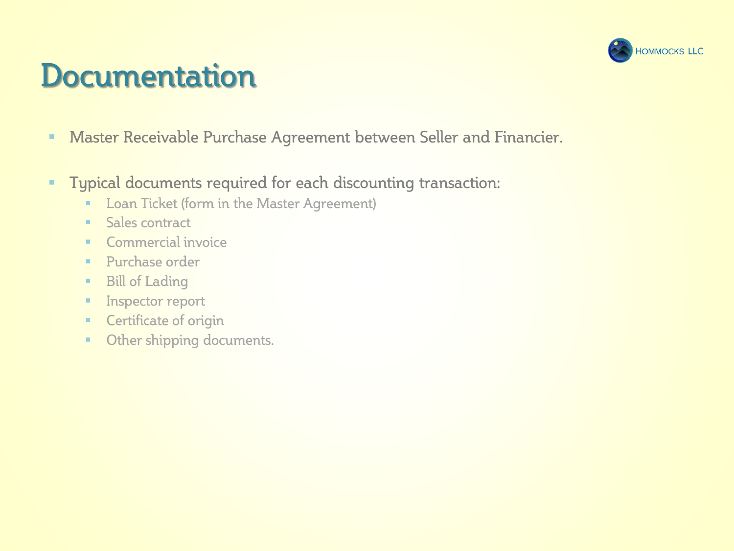

### **Documentation**

- **EXEDER Master Receivable Purchase Agreement between Seller and Financier.**
- **Typical documents required for each discounting transaction:** 
	- **E.** Loan Ticket (form in the Master Agreement)
	- Sales contract
	- Commercial invoice
	- Purchase order
	- Bill of Lading
	- **■** Inspector report
	- **EXECUTE:** Certificate of origin
	- **Other shipping documents.**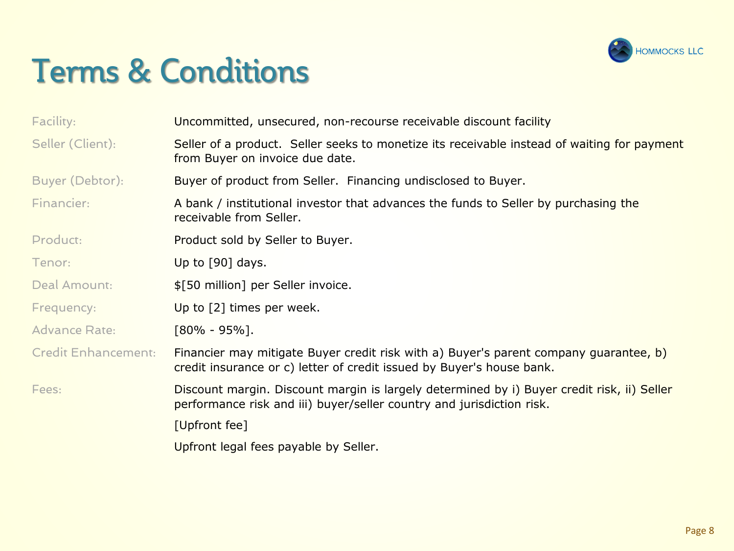

### Terms & Conditions

| Facility:                  | Uncommitted, unsecured, non-recourse receivable discount facility                                                                                                   |  |
|----------------------------|---------------------------------------------------------------------------------------------------------------------------------------------------------------------|--|
| Seller (Client):           | Seller of a product. Seller seeks to monetize its receivable instead of waiting for payment<br>from Buyer on invoice due date.                                      |  |
| Buyer (Debtor):            | Buyer of product from Seller. Financing undisclosed to Buyer.                                                                                                       |  |
| Financier:                 | A bank / institutional investor that advances the funds to Seller by purchasing the<br>receivable from Seller.                                                      |  |
| Product:                   | Product sold by Seller to Buyer.                                                                                                                                    |  |
| Tenor:                     | Up to $[90]$ days.                                                                                                                                                  |  |
| Deal Amount:               | \$[50 million] per Seller invoice.                                                                                                                                  |  |
| Frequency:                 | Up to [2] times per week.                                                                                                                                           |  |
| <b>Advance Rate:</b>       | $[80\% - 95\%]$ .                                                                                                                                                   |  |
| <b>Credit Enhancement:</b> | Financier may mitigate Buyer credit risk with a) Buyer's parent company guarantee, b)<br>credit insurance or c) letter of credit issued by Buyer's house bank.      |  |
| Fees:                      | Discount margin. Discount margin is largely determined by i) Buyer credit risk, ii) Seller<br>performance risk and iii) buyer/seller country and jurisdiction risk. |  |
|                            | [Upfront fee]                                                                                                                                                       |  |
|                            | Upfront legal fees payable by Seller.                                                                                                                               |  |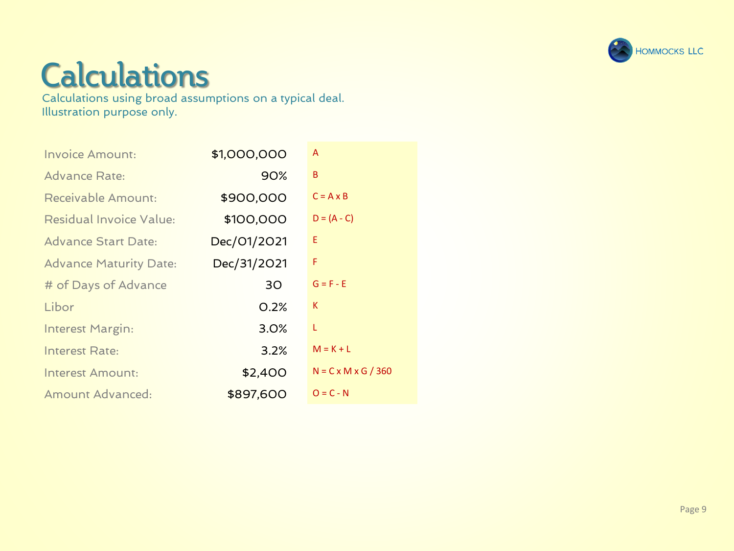

### **Calculations**

Calculations using broad assumptions on a typical deal. Illustration purpose only.

| <b>Invoice Amount:</b>        | \$1,000,000 | A                               |
|-------------------------------|-------------|---------------------------------|
| <b>Advance Rate:</b>          | 90%         | B                               |
| Receivable Amount:            | \$900,000   | $C = A \times B$                |
| Residual Invoice Value:       | \$100,000   | $D = (A - C)$                   |
| <b>Advance Start Date:</b>    | Dec/01/2021 | Ε                               |
| <b>Advance Maturity Date:</b> | Dec/31/2021 | F                               |
| # of Days of Advance          | 30          | $G = F - E$                     |
| Libor                         | 0.2%        | K                               |
| Interest Margin:              | 3.0%        | L                               |
| Interest Rate:                | 3.2%        | $M = K + L$                     |
| Interest Amount:              | \$2,400     | $N = C \times M \times G / 360$ |
| Amount Advanced:              | \$897,600   | $O = C - N$                     |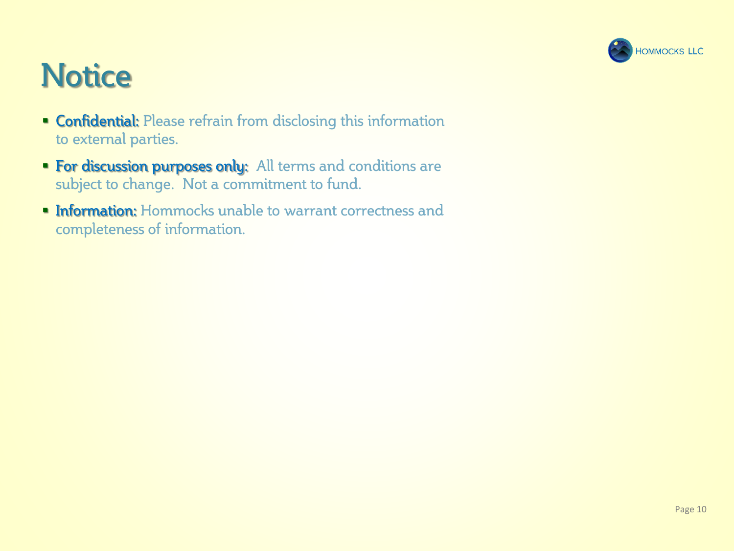

## **Notice**

- **Confidential:** Please refrain from disclosing this information to external parties.
- **For discussion purposes only:** All terms and conditions are subject to change. Not a commitment to fund.
- **Information:** Hommocks unable to warrant correctness and completeness of information.